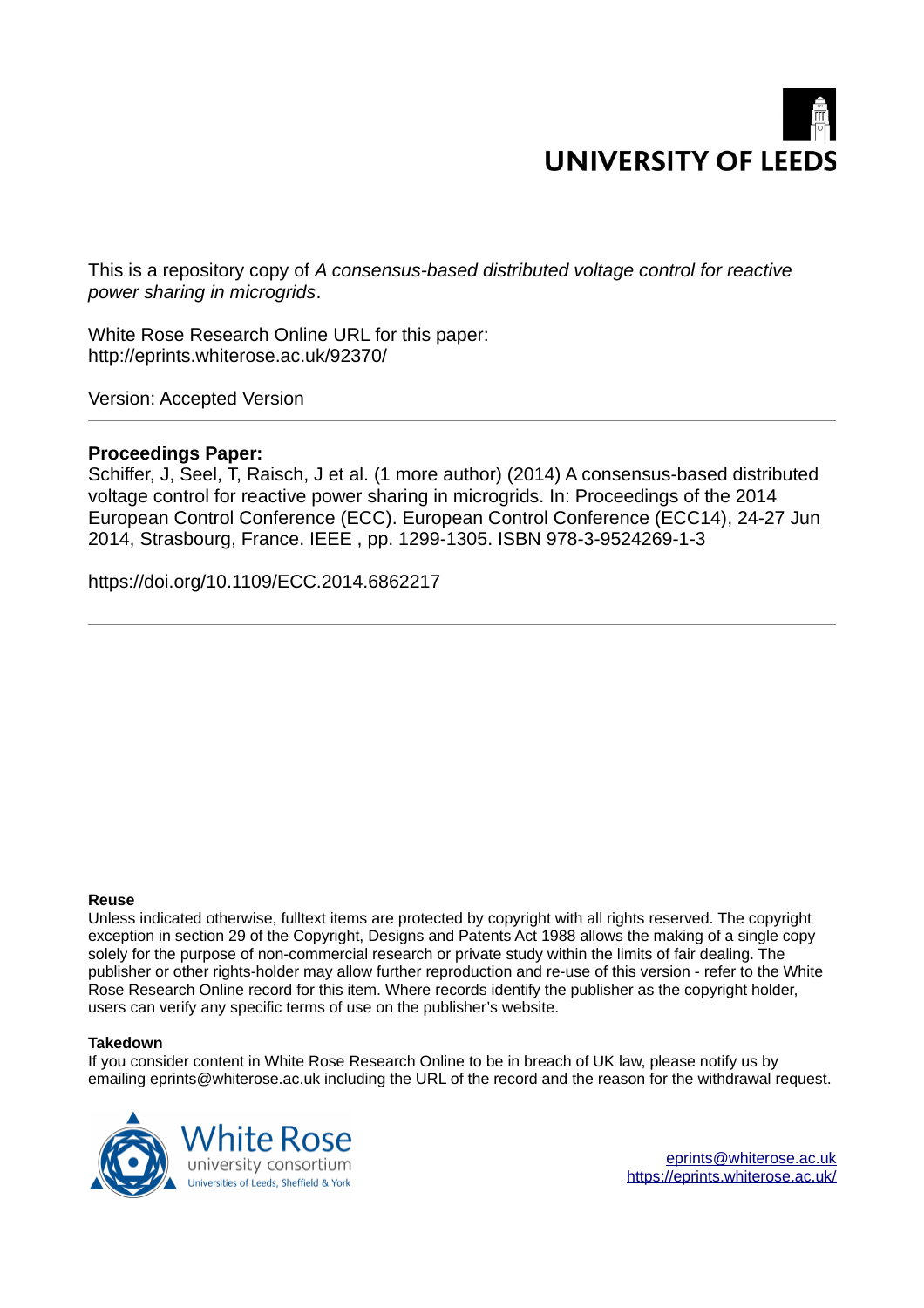

This is a repository copy of *A consensus-based distributed voltage control for reactive power sharing in microgrids*.

White Rose Research Online URL for this paper: http://eprints.whiterose.ac.uk/92370/

Version: Accepted Version

# **Proceedings Paper:**

Schiffer, J, Seel, T, Raisch, J et al. (1 more author) (2014) A consensus-based distributed voltage control for reactive power sharing in microgrids. In: Proceedings of the 2014 European Control Conference (ECC). European Control Conference (ECC14), 24-27 Jun 2014, Strasbourg, France. IEEE , pp. 1299-1305. ISBN 978-3-9524269-1-3

https://doi.org/10.1109/ECC.2014.6862217

# **Reuse**

Unless indicated otherwise, fulltext items are protected by copyright with all rights reserved. The copyright exception in section 29 of the Copyright, Designs and Patents Act 1988 allows the making of a single copy solely for the purpose of non-commercial research or private study within the limits of fair dealing. The publisher or other rights-holder may allow further reproduction and re-use of this version - refer to the White Rose Research Online record for this item. Where records identify the publisher as the copyright holder, users can verify any specific terms of use on the publisher's website.

# **Takedown**

If you consider content in White Rose Research Online to be in breach of UK law, please notify us by emailing eprints@whiterose.ac.uk including the URL of the record and the reason for the withdrawal request.

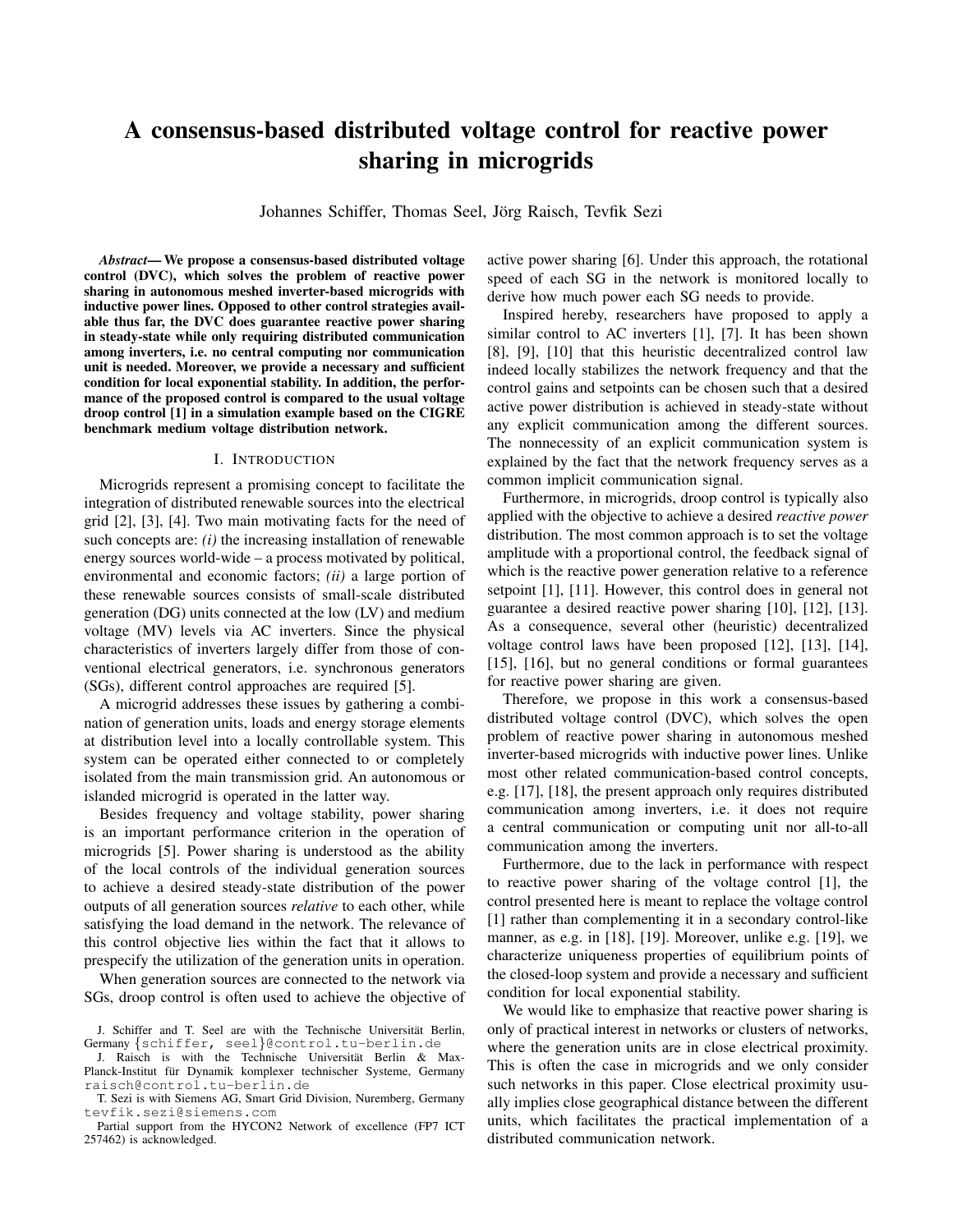# A consensus-based distributed voltage control for reactive power sharing in microgrids

Johannes Schiffer, Thomas Seel, Jorg Raisch, Tevfik Sezi ¨

*Abstract*— We propose a consensus-based distributed voltage control (DVC), which solves the problem of reactive power sharing in autonomous meshed inverter-based microgrids with inductive power lines. Opposed to other control strategies available thus far, the DVC does guarantee reactive power sharing in steady-state while only requiring distributed communication among inverters, i.e. no central computing nor communication unit is needed. Moreover, we provide a necessary and sufficient condition for local exponential stability. In addition, the performance of the proposed control is compared to the usual voltage droop control [1] in a simulation example based on the CIGRE benchmark medium voltage distribution network.

## I. INTRODUCTION

Microgrids represent a promising concept to facilitate the integration of distributed renewable sources into the electrical grid [2], [3], [4]. Two main motivating facts for the need of such concepts are: *(i)* the increasing installation of renewable energy sources world-wide – a process motivated by political, environmental and economic factors; *(ii)* a large portion of these renewable sources consists of small-scale distributed generation (DG) units connected at the low (LV) and medium voltage (MV) levels via AC inverters. Since the physical characteristics of inverters largely differ from those of conventional electrical generators, i.e. synchronous generators (SGs), different control approaches are required [5].

A microgrid addresses these issues by gathering a combination of generation units, loads and energy storage elements at distribution level into a locally controllable system. This system can be operated either connected to or completely isolated from the main transmission grid. An autonomous or islanded microgrid is operated in the latter way.

Besides frequency and voltage stability, power sharing is an important performance criterion in the operation of microgrids [5]. Power sharing is understood as the ability of the local controls of the individual generation sources to achieve a desired steady-state distribution of the power outputs of all generation sources *relative* to each other, while satisfying the load demand in the network. The relevance of this control objective lies within the fact that it allows to prespecify the utilization of the generation units in operation.

When generation sources are connected to the network via SGs, droop control is often used to achieve the objective of

active power sharing [6]. Under this approach, the rotational speed of each SG in the network is monitored locally to derive how much power each SG needs to provide.

Inspired hereby, researchers have proposed to apply a similar control to AC inverters [1], [7]. It has been shown [8], [9], [10] that this heuristic decentralized control law indeed locally stabilizes the network frequency and that the control gains and setpoints can be chosen such that a desired active power distribution is achieved in steady-state without any explicit communication among the different sources. The nonnecessity of an explicit communication system is explained by the fact that the network frequency serves as a common implicit communication signal.

Furthermore, in microgrids, droop control is typically also applied with the objective to achieve a desired *reactive power* distribution. The most common approach is to set the voltage amplitude with a proportional control, the feedback signal of which is the reactive power generation relative to a reference setpoint [1], [11]. However, this control does in general not guarantee a desired reactive power sharing [10], [12], [13]. As a consequence, several other (heuristic) decentralized voltage control laws have been proposed [12], [13], [14], [15], [16], but no general conditions or formal guarantees for reactive power sharing are given.

Therefore, we propose in this work a consensus-based distributed voltage control (DVC), which solves the open problem of reactive power sharing in autonomous meshed inverter-based microgrids with inductive power lines. Unlike most other related communication-based control concepts, e.g. [17], [18], the present approach only requires distributed communication among inverters, i.e. it does not require a central communication or computing unit nor all-to-all communication among the inverters.

Furthermore, due to the lack in performance with respect to reactive power sharing of the voltage control [1], the control presented here is meant to replace the voltage control [1] rather than complementing it in a secondary control-like manner, as e.g. in [18], [19]. Moreover, unlike e.g. [19], we characterize uniqueness properties of equilibrium points of the closed-loop system and provide a necessary and sufficient condition for local exponential stability.

We would like to emphasize that reactive power sharing is only of practical interest in networks or clusters of networks, where the generation units are in close electrical proximity. This is often the case in microgrids and we only consider such networks in this paper. Close electrical proximity usually implies close geographical distance between the different units, which facilitates the practical implementation of a distributed communication network.

J. Schiffer and T. Seel are with the Technische Universität Berlin, Germany {schiffer, seel}@control.tu-berlin.de

J. Raisch is with the Technische Universität Berlin & Max-Planck-Institut für Dynamik komplexer technischer Systeme, Germany raisch@control.tu-berlin.de

T. Sezi is with Siemens AG, Smart Grid Division, Nuremberg, Germany tevfik.sezi@siemens.com

Partial support from the HYCON2 Network of excellence (FP7 ICT 257462) is acknowledged.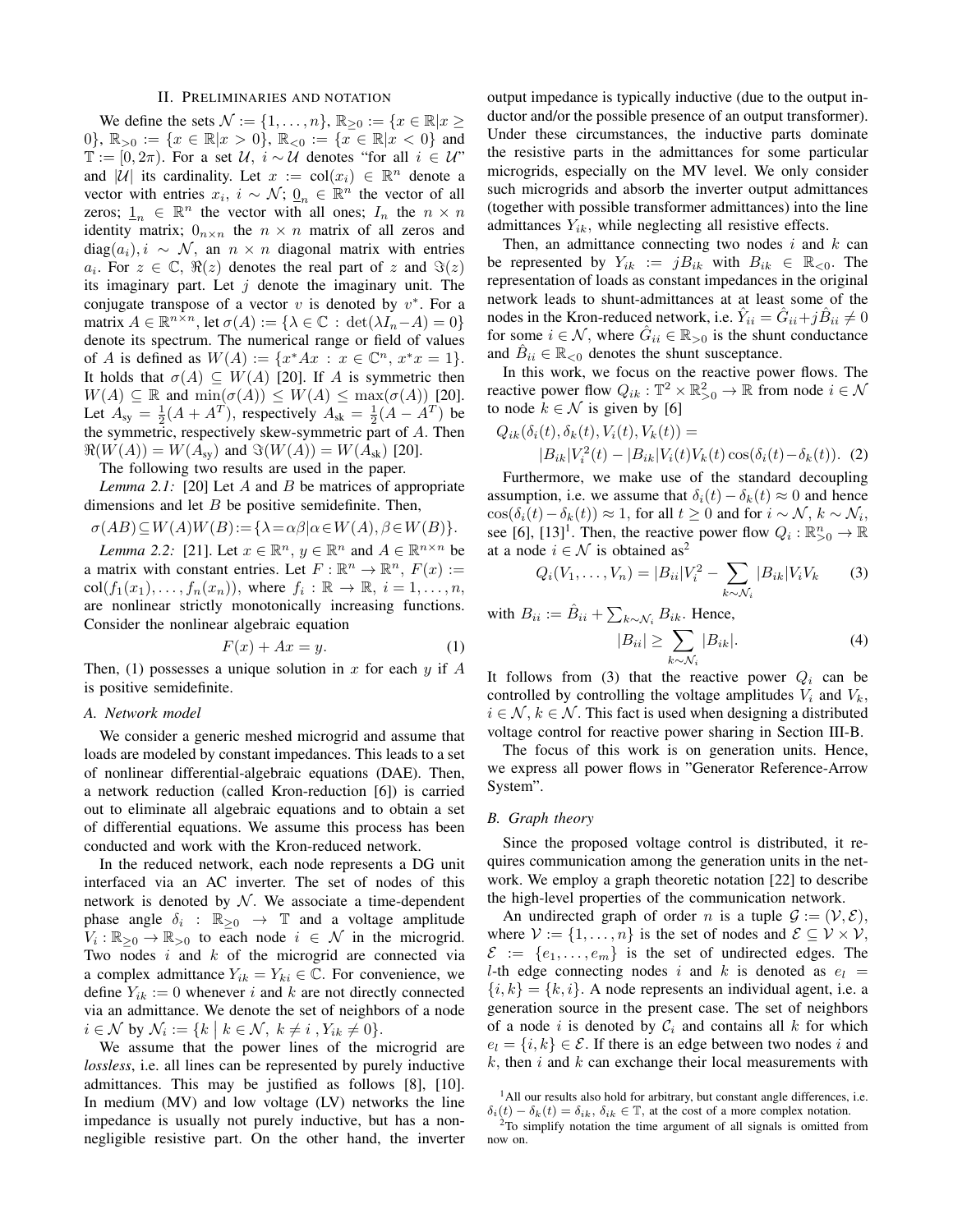#### II. PRELIMINARIES AND NOTATION

We define the sets  $\mathcal{N} := \{1, \ldots, n\}, \mathbb{R}_{\geq 0} := \{x \in \mathbb{R} | x \geq 0\}$ 0},  $\mathbb{R}_{>0} := \{x \in \mathbb{R} | x > 0\}$ ,  $\mathbb{R}_{<0} := \{x \in \mathbb{R} | x < 0\}$  and  $\mathbb{T} := [0, 2\pi)$ . For a set  $\mathcal{U}, i \sim \mathcal{U}$  denotes "for all  $i \in \mathcal{U}$ " and |U| its cardinality. Let  $x := \text{col}(x_i) \in \mathbb{R}^n$  denote a vector with entries  $x_i$ ,  $i \sim \mathcal{N}$ ;  $\underline{0}_n \in \mathbb{R}^n$  the vector of all zeros;  $\underline{1}_n \in \mathbb{R}^n$  the vector with all ones;  $I_n$  the  $n \times n$ identity matrix;  $0_{n \times n}$  the  $n \times n$  matrix of all zeros and diag $(a_i), i \sim \mathcal{N}$ , an  $n \times n$  diagonal matrix with entries  $a_i$ . For  $z \in \mathbb{C}$ ,  $\Re(z)$  denotes the real part of z and  $\Im(z)$ its imaginary part. Let  $j$  denote the imaginary unit. The conjugate transpose of a vector  $v$  is denoted by  $v^*$ . For a matrix  $A \in \mathbb{R}^{n \times n}$ , let  $\sigma(A) := \{ \lambda \in \mathbb{C} : \det(\lambda I_n - A) = 0 \}$ denote its spectrum. The numerical range or field of values of A is defined as  $W(A) := \{x^*Ax : x \in \mathbb{C}^n, x^*x = 1\}.$ It holds that  $\sigma(A) \subseteq W(A)$  [20]. If A is symmetric then  $W(A) \subseteq \mathbb{R}$  and  $\min(\sigma(A)) \leq W(A) \leq \max(\sigma(A))$  [20]. Let  $A_{sy} = \frac{1}{2}(A + A^T)$ , respectively  $A_{sk} = \frac{1}{2}(A - A^T)$  be the symmetric, respectively skew-symmetric part of A. Then  $\Re(W(A)) = W(A_{sy})$  and  $\Im(W(A)) = W(A_{sk})$  [20].

The following two results are used in the paper.

*Lemma 2.1:* [20] Let A and B be matrices of appropriate dimensions and let  $B$  be positive semidefinite. Then,

$$
\sigma(AB) \subseteq W(A)W(B) := {\lambda = \alpha \beta | \alpha \in W(A), \beta \in W(B) }.
$$

*Lemma 2.2:* [21]. Let  $x \in \mathbb{R}^n$ ,  $y \in \mathbb{R}^n$  and  $A \in \mathbb{R}^{n \times n}$  be a matrix with constant entries. Let  $F : \mathbb{R}^n \to \mathbb{R}^n$ ,  $F(x) :=$  $col(f_1(x_1),...,f_n(x_n)),$  where  $f_i: \mathbb{R} \to \mathbb{R}, i = 1,...,n,$ are nonlinear strictly monotonically increasing functions. Consider the nonlinear algebraic equation

$$
F(x) + Ax = y.
$$
 (1)

Then, (1) possesses a unique solution in x for each y if A is positive semidefinite.

# *A. Network model*

We consider a generic meshed microgrid and assume that loads are modeled by constant impedances. This leads to a set of nonlinear differential-algebraic equations (DAE). Then, a network reduction (called Kron-reduction [6]) is carried out to eliminate all algebraic equations and to obtain a set of differential equations. We assume this process has been conducted and work with the Kron-reduced network.

In the reduced network, each node represents a DG unit interfaced via an AC inverter. The set of nodes of this network is denoted by  $N$ . We associate a time-dependent phase angle  $\delta_i$  :  $\mathbb{R}_{\geq 0}$   $\rightarrow$  T and a voltage amplitude  $V_i: \mathbb{R}_{\geq 0} \to \mathbb{R}_{>0}$  to each node  $i \in \mathcal{N}$  in the microgrid. Two nodes  $i$  and  $k$  of the microgrid are connected via a complex admittance  $Y_{ik} = Y_{ki} \in \mathbb{C}$ . For convenience, we define  $Y_{ik} := 0$  whenever i and k are not directly connected via an admittance. We denote the set of neighbors of a node  $i \in \mathcal{N}$  by  $\mathcal{N}_i := \{ k \mid k \in \mathcal{N}, k \neq i, Y_{ik} \neq 0 \}.$ 

We assume that the power lines of the microgrid are *lossless*, i.e. all lines can be represented by purely inductive admittances. This may be justified as follows [8], [10]. In medium (MV) and low voltage (LV) networks the line impedance is usually not purely inductive, but has a nonnegligible resistive part. On the other hand, the inverter output impedance is typically inductive (due to the output inductor and/or the possible presence of an output transformer). Under these circumstances, the inductive parts dominate the resistive parts in the admittances for some particular microgrids, especially on the MV level. We only consider such microgrids and absorb the inverter output admittances (together with possible transformer admittances) into the line admittances  $Y_{ik}$ , while neglecting all resistive effects.

Then, an admittance connecting two nodes  $i$  and  $k$  can be represented by  $Y_{ik} := jB_{ik}$  with  $B_{ik} \in \mathbb{R}_{\leq 0}$ . The representation of loads as constant impedances in the original network leads to shunt-admittances at at least some of the nodes in the Kron-reduced network, i.e.  $\hat{Y}_{ii} = \hat{G}_{ii} + j\hat{B}_{ii} \neq 0$ for some  $i \in \mathcal{N}$ , where  $\hat{G}_{ii} \in \mathbb{R}_{>0}$  is the shunt conductance and  $\hat{B}_{ii} \in \mathbb{R}_{\leq 0}$  denotes the shunt susceptance.

In this work, we focus on the reactive power flows. The reactive power flow  $Q_{ik} : \mathbb{T}^2 \times \mathbb{R}^2_{>0} \to \mathbb{R}$  from node  $i \in \mathcal{N}$ to node  $k \in \mathcal{N}$  is given by [6]

 $Q_{ik}(\delta_i(t), \delta_k(t), V_i(t), V_k(t)) =$ 

$$
|B_{ik}|V_i^2(t) - |B_{ik}|V_i(t)V_k(t)\cos(\delta_i(t) - \delta_k(t)).
$$
 (2)

Furthermore, we make use of the standard decoupling assumption, i.e. we assume that  $\delta_i(t) - \delta_k(t) \approx 0$  and hence  $\cos(\delta_i(t) - \delta_k(t)) \approx 1$ , for all  $t \geq 0$  and for  $i \sim \mathcal{N}, k \sim \mathcal{N}_i$ , see [6], [13]<sup>1</sup>. Then, the reactive power flow  $Q_i : \mathbb{R}^n_{>0} \to \mathbb{R}$ at a node  $i \in \mathcal{N}$  is obtained as<sup>2</sup>

$$
Q_i(V_1, ..., V_n) = |B_{ii}|V_i^2 - \sum_{k \sim \mathcal{N}_i} |B_{ik}|V_iV_k
$$
 (3)

with  $B_{ii} := \hat{B}_{ii} + \sum_{k \sim \mathcal{N}_i} B_{ik}$ . Hence,

$$
|B_{ii}| \ge \sum_{k \sim \mathcal{N}_i} |B_{ik}|. \tag{4}
$$

It follows from (3) that the reactive power  $Q_i$  can be controlled by controlling the voltage amplitudes  $V_i$  and  $V_k$ ,  $i \in \mathcal{N}, k \in \mathcal{N}$ . This fact is used when designing a distributed voltage control for reactive power sharing in Section III-B.

The focus of this work is on generation units. Hence, we express all power flows in "Generator Reference-Arrow System".

## *B. Graph theory*

Since the proposed voltage control is distributed, it requires communication among the generation units in the network. We employ a graph theoretic notation [22] to describe the high-level properties of the communication network.

An undirected graph of order *n* is a tuple  $\mathcal{G} := (\mathcal{V}, \mathcal{E}),$ where  $V := \{1, \ldots, n\}$  is the set of nodes and  $\mathcal{E} \subseteq \mathcal{V} \times \mathcal{V}$ ,  $\mathcal{E} := \{e_1, \ldots, e_m\}$  is the set of undirected edges. The l-th edge connecting nodes i and k is denoted as  $e_l =$  $\{i, k\} = \{k, i\}$ . A node represents an individual agent, i.e. a generation source in the present case. The set of neighbors of a node i is denoted by  $C_i$  and contains all k for which  $e_l = \{i, k\} \in \mathcal{E}$ . If there is an edge between two nodes i and  $k$ , then i and k can exchange their local measurements with

 $<sup>1</sup>$ All our results also hold for arbitrary, but constant angle differences, i.e.</sup>  $\delta_i(t) - \delta_k(t) = \delta_{ik}, \delta_{ik} \in \mathbb{T}$ , at the cost of a more complex notation.

 $2^2$ To simplify notation the time argument of all signals is omitted from now on.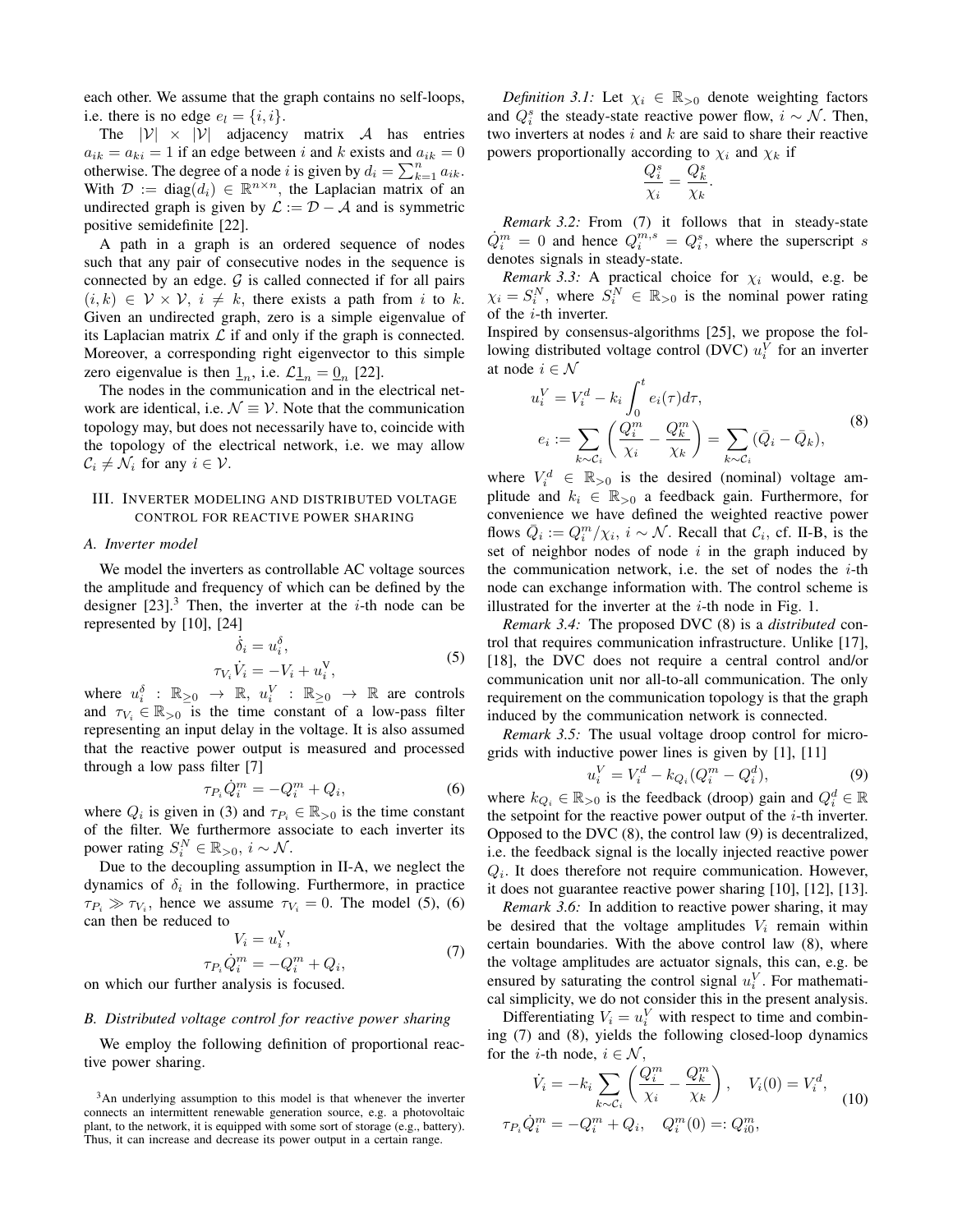each other. We assume that the graph contains no self-loops, i.e. there is no edge  $e_l = \{i, i\}$ .

The  $|V| \times |V|$  adjacency matrix A has entries  $a_{ik} = a_{ki} = 1$  if an edge between i and k exists and  $a_{ik} = 0$ otherwise. The degree of a node *i* is given by  $d_i = \sum_{k=1}^{n} a_{ik}$ . With  $\mathcal{D} := \text{diag}(d_i) \in \mathbb{R}^{n \times n}$ , the Laplacian matrix of an undirected graph is given by  $\mathcal{L} := \mathcal{D} - \mathcal{A}$  and is symmetric positive semidefinite [22].

A path in a graph is an ordered sequence of nodes such that any pair of consecutive nodes in the sequence is connected by an edge.  $G$  is called connected if for all pairs  $(i, k) \in V \times V$ ,  $i \neq k$ , there exists a path from i to k. Given an undirected graph, zero is a simple eigenvalue of its Laplacian matrix  $\mathcal L$  if and only if the graph is connected. Moreover, a corresponding right eigenvector to this simple zero eigenvalue is then  $\underline{1}_n$ , i.e.  $\mathcal{L}\underline{1}_n = \underline{0}_n$  [22].

The nodes in the communication and in the electrical network are identical, i.e.  $\mathcal{N} \equiv \mathcal{V}$ . Note that the communication topology may, but does not necessarily have to, coincide with the topology of the electrical network, i.e. we may allow  $C_i \neq \mathcal{N}_i$  for any  $i \in \mathcal{V}$ .

# III. INVERTER MODELING AND DISTRIBUTED VOLTAGE CONTROL FOR REACTIVE POWER SHARING

#### *A. Inverter model*

We model the inverters as controllable AC voltage sources the amplitude and frequency of which can be defined by the designer  $[23]$ <sup>3</sup>. Then, the inverter at the *i*-th node can be represented by [10], [24]

$$
\dot{\delta}_i = u_i^{\delta},
$$
  
\n
$$
\tau_{V_i} \dot{V}_i = -V_i + u_i^{\mathbf{V}},
$$
\n(5)

where  $u_i^{\delta}$  :  $\mathbb{R}_{\geq 0} \to \mathbb{R}$ ,  $u_i^V$  :  $\mathbb{R}_{\geq 0} \to \mathbb{R}$  are controls and  $\tau_{V_i} \in \mathbb{R}_{>0}$  is the time constant of a low-pass filter representing an input delay in the voltage. It is also assumed that the reactive power output is measured and processed through a low pass filter [7]

$$
\tau_{P_i}\dot{Q}_i^m = -Q_i^m + Q_i,\tag{6}
$$

where  $Q_i$  is given in (3) and  $\tau_{P_i} \in \mathbb{R}_{>0}$  is the time constant of the filter. We furthermore associate to each inverter its power rating  $S_i^N \in \mathbb{R}_{>0}$ ,  $i \sim \mathcal{N}$ .

Due to the decoupling assumption in II-A, we neglect the dynamics of  $\delta_i$  in the following. Furthermore, in practice  $\tau_{P_i} \gg \tau_{V_i}$ , hence we assume  $\tau_{V_i} = 0$ . The model (5), (6) can then be reduced to

$$
V_i = u_i^{\mathbf{V}},
$$
  
\n
$$
\tau_{P_i} \dot{Q}_i^m = -Q_i^m + Q_i,
$$
\n(7)

on which our further analysis is focused.

### *B. Distributed voltage control for reactive power sharing*

We employ the following definition of proportional reactive power sharing.

*Definition 3.1:* Let  $\chi_i \in \mathbb{R}_{>0}$  denote weighting factors and  $Q_i^s$  the steady-state reactive power flow,  $i \sim \mathcal{N}$ . Then, two inverters at nodes  $i$  and  $k$  are said to share their reactive powers proportionally according to  $\chi_i$  and  $\chi_k$  if

$$
\frac{Q_i^s}{\chi_i} = \frac{Q_k^s}{\chi_k}.
$$

*Remark 3.2:* From (7) it follows that in steady-state  $\dot{Q}_i^m = 0$  and hence  $Q_i^{m,s} = Q_i^s$ , where the superscript s denotes signals in steady-state.

*Remark 3.3:* A practical choice for  $\chi_i$  would, e.g. be  $\chi_i = S_i^N$ , where  $S_i^N \in \mathbb{R}_{>0}$  is the nominal power rating of the  $i$ -th inverter.

Inspired by consensus-algorithms [25], we propose the following distributed voltage control (DVC)  $u_i^V$  for an inverter at node  $i \in \mathcal{N}$ 

$$
u_i^V = V_i^d - k_i \int_0^t e_i(\tau) d\tau,
$$
  

$$
e_i := \sum_{k \sim C_i} \left( \frac{Q_i^m}{\chi_i} - \frac{Q_k^m}{\chi_k} \right) = \sum_{k \sim C_i} (\bar{Q}_i - \bar{Q}_k),
$$
 (8)

where  $V_i^d \in \mathbb{R}_{>0}$  is the desired (nominal) voltage amplitude and  $k_i \in \mathbb{R}_{>0}$  a feedback gain. Furthermore, for convenience we have defined the weighted reactive power flows  $\overline{Q}_i := Q_i^m / \chi_i$ ,  $i \sim \mathcal{N}$ . Recall that  $\mathcal{C}_i$ , cf. II-B, is the set of neighbor nodes of node  $i$  in the graph induced by the communication network, i.e. the set of nodes the  $i$ -th node can exchange information with. The control scheme is illustrated for the inverter at the  $i$ -th node in Fig. 1.

*Remark 3.4:* The proposed DVC (8) is a *distributed* control that requires communication infrastructure. Unlike [17], [18], the DVC does not require a central control and/or communication unit nor all-to-all communication. The only requirement on the communication topology is that the graph induced by the communication network is connected.

*Remark 3.5:* The usual voltage droop control for microgrids with inductive power lines is given by [1], [11]

$$
u_i^V = V_i^d - k_{Q_i}(Q_i^m - Q_i^d), \tag{9}
$$

where  $k_{Q_i} \in \mathbb{R}_{>0}$  is the feedback (droop) gain and  $Q_i^d \in \mathbb{R}$ the setpoint for the reactive power output of the  $i$ -th inverter. Opposed to the DVC (8), the control law (9) is decentralized, i.e. the feedback signal is the locally injected reactive power  $Q_i$ . It does therefore not require communication. However, it does not guarantee reactive power sharing [10], [12], [13].

*Remark 3.6:* In addition to reactive power sharing, it may be desired that the voltage amplitudes  $V_i$  remain within certain boundaries. With the above control law (8), where the voltage amplitudes are actuator signals, this can, e.g. be ensured by saturating the control signal  $u_i^V$ . For mathematical simplicity, we do not consider this in the present analysis.

Differentiating  $V_i = u_i^V$  with respect to time and combining (7) and (8), yields the following closed-loop dynamics for the *i*-th node,  $i \in \mathcal{N}$ ,

$$
\dot{V}_i = -k_i \sum_{k \sim C_i} \left( \frac{Q_i^m}{\chi_i} - \frac{Q_k^m}{\chi_k} \right), \quad V_i(0) = V_i^d,
$$
\n
$$
\tau_{P_i} \dot{Q}_i^m = -Q_i^m + Q_i, \quad Q_i^m(0) =: Q_{i0}^m,
$$
\n(10)

<sup>&</sup>lt;sup>3</sup>An underlying assumption to this model is that whenever the inverter connects an intermittent renewable generation source, e.g. a photovoltaic plant, to the network, it is equipped with some sort of storage (e.g., battery). Thus, it can increase and decrease its power output in a certain range.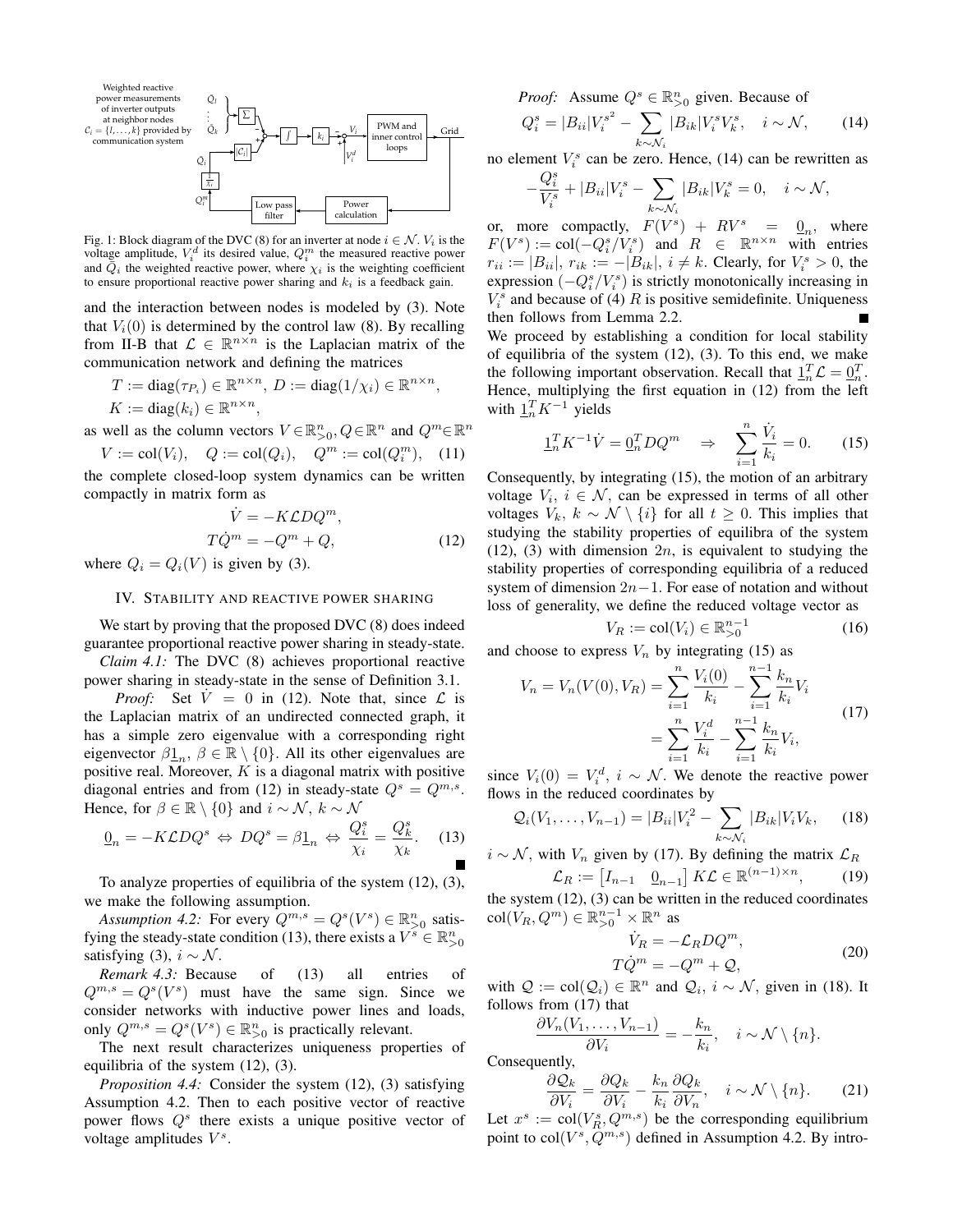

Fig. 1: Block diagram of the DVC (8) for an inverter at node  $i \in \mathcal{N}$ .  $V_i$  is the voltage amplitude,  $V_i^d$  its desired value,  $Q_i^m$  the measured reactive power and  $\overline{Q}_i$  the weighted reactive power, where  $\chi_i$  is the weighting coefficient to ensure proportional reactive power sharing and  $k_i$  is a feedback gain.

and the interaction between nodes is modeled by (3). Note that  $V_i(0)$  is determined by the control law (8). By recalling from II-B that  $\mathcal{L} \in \mathbb{R}^{n \times n}$  is the Laplacian matrix of the communication network and defining the matrices

$$
T := \text{diag}(\tau_{P_i}) \in \mathbb{R}^{n \times n}, D := \text{diag}(1/\chi_i) \in \mathbb{R}^{n \times n},
$$
  

$$
K := \text{diag}(k_i) \in \mathbb{R}^{n \times n},
$$

as well as the column vectors  $V \in \mathbb{R}_{>0}^n$ ,  $Q \in \mathbb{R}^n$  and  $Q^m \in \mathbb{R}^n$ 

$$
V := \text{col}(V_i), \quad Q := \text{col}(Q_i), \quad Q^m := \text{col}(Q_i^m), \quad (11)
$$

the complete closed-loop system dynamics can be written compactly in matrix form as

$$
\dot{V} = -K\mathcal{L}DQ^m,
$$
  
\n
$$
T\dot{Q}^m = -Q^m + Q,
$$
\n(12)

where  $Q_i = Q_i(V)$  is given by (3).

#### IV. STABILITY AND REACTIVE POWER SHARING

We start by proving that the proposed DVC  $(8)$  does indeed guarantee proportional reactive power sharing in steady-state.

*Claim 4.1:* The DVC (8) achieves proportional reactive power sharing in steady-state in the sense of Definition 3.1.

*Proof:* Set  $V = 0$  in (12). Note that, since  $\mathcal{L}$  is the Laplacian matrix of an undirected connected graph, it has a simple zero eigenvalue with a corresponding right eigenvector  $\beta \underline{1}_n$ ,  $\beta \in \mathbb{R} \setminus \{0\}$ . All its other eigenvalues are positive real. Moreover,  $K$  is a diagonal matrix with positive diagonal entries and from (12) in steady-state  $Q^s = Q^{m,s}$ . Hence, for  $\beta \in \mathbb{R} \setminus \{0\}$  and  $i \sim \mathcal{N}$ ,  $k \sim \mathcal{N}$ 

$$
\underline{0}_n = -K\mathcal{L}DQ^s \Leftrightarrow DQ^s = \beta \underline{1}_n \Leftrightarrow \frac{Q_i^s}{\chi_i} = \frac{Q_k^s}{\chi_k}.\tag{13}
$$

To analyze properties of equilibria of the system (12), (3), we make the following assumption.

Assumption 4.2: For every  $Q^{m,s} = Q^s(V^s) \in \mathbb{R}^n_{>0}$  satisfying the steady-state condition (13), there exists a  $V^s \in \mathbb{R}^n_{>0}$ satisfying (3),  $i \sim \mathcal{N}$ .

*Remark 4.3:* Because of (13) all entries of  $Q^{m,s} = Q^{s}(V^{s})$  must have the same sign. Since we consider networks with inductive power lines and loads, only  $Q^{m,s} = Q^s(V^s) \in \mathbb{R}_{>0}^n$  is practically relevant.

The next result characterizes uniqueness properties of equilibria of the system (12), (3).

*Proposition 4.4:* Consider the system (12), (3) satisfying Assumption 4.2. Then to each positive vector of reactive power flows  $Q^s$  there exists a unique positive vector of voltage amplitudes  $V^s$ .

*Proof:* Assume  $Q^s \in \mathbb{R}_{>0}^n$  given. Because of

$$
Q_i^s = |B_{ii}|V_i^{s^2} - \sum_{k \sim N_i} |B_{ik}|V_i^s V_k^s, \quad i \sim \mathcal{N}, \qquad (14)
$$

no element  $V_i^s$  can be zero. Hence, (14) can be rewritten as

$$
-\frac{Q_i^s}{V_i^s}+|B_{ii}|V_i^s-\sum_{k\sim\mathcal{N}_i}|B_{ik}|V_k^s=0,\quad i\sim\mathcal{N},
$$

or, more compactly,  $F(V^s) + RV^s = 0_n$ , where  $F(V^s) := \text{col}(-Q_i^s/V_i^s)$  and  $R \in \mathbb{R}^{n \times n}$  with entries  $r_{ii} := |B_{ii}|, r_{ik} := -|B_{ik}|, i \neq k$ . Clearly, for  $V_i^s > 0$ , the expression  $(-Q_i^s/V_i^s)$  is strictly monotonically increasing in  $V_i^s$  and because of (4) R is positive semidefinite. Uniqueness then follows from Lemma 2.2. We proceed by establishing a condition for local stability of equilibria of the system (12), (3). To this end, we make

the following important observation. Recall that  $\mathbf{1}_n^T \mathcal{L} = \mathbf{0}_n^T$ . Hence, multiplying the first equation in (12) from the left with  $\frac{1}{n} K^{-1}$  yields

$$
\underline{1}_n^T K^{-1} \dot{V} = \underline{0}_n^T D Q^m \quad \Rightarrow \quad \sum_{i=1}^n \frac{\dot{V}_i}{k_i} = 0. \tag{15}
$$

Consequently, by integrating (15), the motion of an arbitrary voltage  $V_i$ ,  $i \in \mathcal{N}$ , can be expressed in terms of all other voltages  $V_k$ ,  $k \sim \mathcal{N} \setminus \{i\}$  for all  $t \geq 0$ . This implies that studying the stability properties of equilibra of the system  $(12)$ ,  $(3)$  with dimension  $2n$ , is equivalent to studying the stability properties of corresponding equilibria of a reduced system of dimension  $2n-1$ . For ease of notation and without loss of generality, we define the reduced voltage vector as

$$
V_R := \text{col}(V_i) \in \mathbb{R}^{n-1}_{>0} \tag{16}
$$

and choose to express  $V_n$  by integrating (15) as

$$
V_n = V_n(V(0), V_R) = \sum_{i=1}^n \frac{V_i(0)}{k_i} - \sum_{i=1}^{n-1} \frac{k_n}{k_i} V_i
$$
  
= 
$$
\sum_{i=1}^n \frac{V_i^d}{k_i} - \sum_{i=1}^{n-1} \frac{k_n}{k_i} V_i,
$$
 (17)

since  $V_i(0) = V_i^d$ ,  $i \sim \mathcal{N}$ . We denote the reactive power flows in the reduced coordinates by

$$
Q_i(V_1, ..., V_{n-1}) = |B_{ii}|V_i^2 - \sum_{k \sim N_i} |B_{ik}|V_iV_k, \quad (18)
$$

 $i \sim \mathcal{N}$ , with  $V_n$  given by (17). By defining the matrix  $\mathcal{L}_R$  $\mathcal{L}_R := \begin{bmatrix} I_{n-1} & \underline{0}_{n-1} \end{bmatrix} K \mathcal{L} \in \mathbb{R}^{(n-1)\times n}$  $(19)$ 

the system (12), (3) can be written in the reduced coordinates  $col(V_R, Q^m) \in \mathbb{R}_{>0}^{n-1} \times \mathbb{R}^n$  as

$$
\dot{V}_R = -\mathcal{L}_R D Q^m,
$$
  
\n
$$
T \dot{Q}^m = -Q^m + \mathcal{Q},
$$
\n(20)

with  $Q := col(Q_i) \in \mathbb{R}^n$  and  $Q_i$ ,  $i \sim \mathcal{N}$ , given in (18). It follows from (17) that

$$
\frac{\partial V_n(V_1,\ldots,V_{n-1})}{\partial V_i}=-\frac{k_n}{k_i}, \quad i\sim\mathcal{N}\setminus\{n\}.
$$

Consequently,

$$
\frac{\partial \mathcal{Q}_k}{\partial V_i} = \frac{\partial Q_k}{\partial V_i} - \frac{k_n}{k_i} \frac{\partial Q_k}{\partial V_n}, \quad i \sim \mathcal{N} \setminus \{n\}.
$$
 (21)

Let  $x^s := \text{col}(V^s_R, Q^{m,s})$  be the corresponding equilibrium point to col $(V^s, \tilde{Q}^{m,s})$  defined in Assumption 4.2. By intro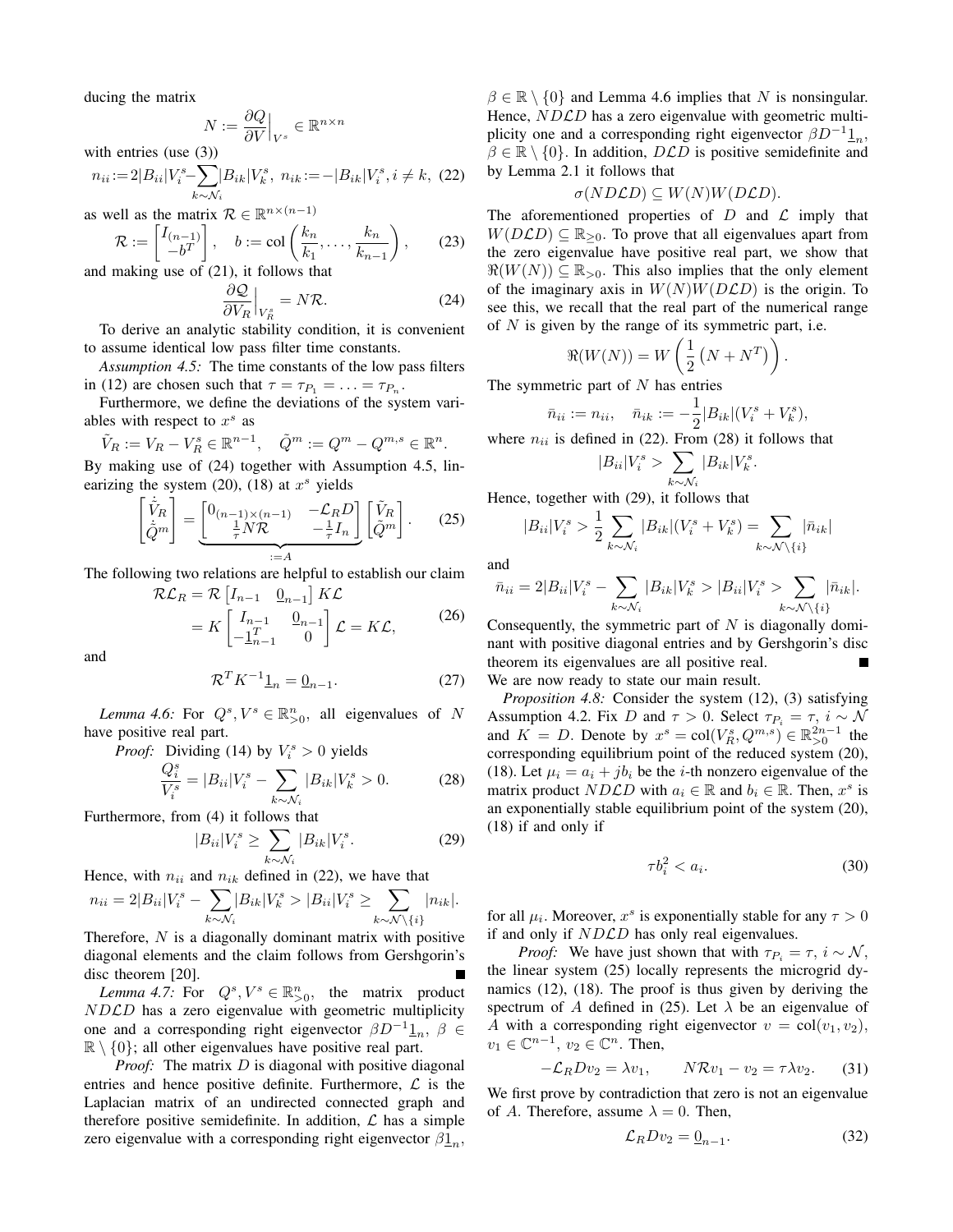ducing the matrix

$$
N := \frac{\partial Q}{\partial V}\Big|_{V^s} \in \mathbb{R}^{n \times n}
$$

with entries (use  $(3)$ )

$$
n_{ii} := 2|B_{ii}|V_i^s - \sum_{k \sim N_i} |B_{ik}|V_k^s, \ n_{ik} := -|B_{ik}|V_i^s, i \neq k, \ (22)
$$

as well as the matrix  $\mathcal{R} \in \mathbb{R}^{n \times (n-1)}$ 

$$
\mathcal{R} := \begin{bmatrix} I_{(n-1)} \\ -b^T \end{bmatrix}, \quad b := \text{col}\left(\frac{k_n}{k_1}, \dots, \frac{k_n}{k_{n-1}}\right), \tag{23}
$$

and making use of (21), it follows that

$$
\left. \frac{\partial \mathcal{Q}}{\partial V_R} \right|_{V_R^s} = N \mathcal{R}.\tag{24}
$$

To derive an analytic stability condition, it is convenient to assume identical low pass filter time constants.

*Assumption 4.5:* The time constants of the low pass filters in (12) are chosen such that  $\tau = \tau_{P_1} = \ldots = \tau_{P_n}$ .

Furthermore, we define the deviations of the system variables with respect to  $x^s$  as

$$
\tilde{V}_R := V_R - V_R^s \in \mathbb{R}^{n-1}, \quad \tilde{Q}^m := Q^m - Q^{m,s} \in \mathbb{R}^n.
$$

By making use of (24) together with Assumption 4.5, linearizing the system (20), (18) at  $x^s$  yields

$$
\begin{bmatrix}\n\dot{\tilde{V}}_R \\
\dot{\tilde{Q}}^m\n\end{bmatrix} = \underbrace{\begin{bmatrix}\n0_{(n-1)\times(n-1)} & -\mathcal{L}_R D \\
\frac{1}{\tau} N \mathcal{R} & -\frac{1}{\tau} I_n\n\end{bmatrix}}_{:=A} \begin{bmatrix}\n\tilde{V}_R \\
\tilde{Q}^m\n\end{bmatrix}.
$$
\n(25)

The following two relations are helpful to establish our claim

$$
\mathcal{RL}_R = \mathcal{R} \begin{bmatrix} I_{n-1} & \underline{0}_{n-1} \end{bmatrix} K \mathcal{L}
$$
  
=  $K \begin{bmatrix} I_{n-1} & \underline{0}_{n-1} \\ -\underline{1}_{n-1}^T & 0 \end{bmatrix} \mathcal{L} = K \mathcal{L},$  (26)

and

$$
\mathcal{R}^T K^{-1} \underline{1}_n = \underline{0}_{n-1}.
$$
 (27)

*Lemma 4.6:* For  $Q^s, V^s \in \mathbb{R}^n_{>0}$ , all eigenvalues of N have positive real part.

*Proof:* Dividing (14) by  $V_i^s > 0$  yields

$$
\frac{Q_i^s}{V_i^s} = |B_{ii}|V_i^s - \sum_{k \sim \mathcal{N}_i} |B_{ik}|V_k^s > 0.
$$
 (28)

Furthermore, from (4) it follows that

$$
|B_{ii}|V_i^s \ge \sum_{k \sim N_i} |B_{ik}|V_i^s. \tag{29}
$$

Hence, with  $n_{ii}$  and  $n_{ik}$  defined in (22), we have that

$$
n_{ii} = 2|B_{ii}|V_i^s - \sum_{k \sim N_i} |B_{ik}|V_k^s > |B_{ii}|V_i^s \ge \sum_{k \sim N \setminus \{i\}} |n_{ik}|.
$$

Therefore,  $N$  is a diagonally dominant matrix with positive diagonal elements and the claim follows from Gershgorin's disc theorem [20].

*Lemma 4.7:* For  $Q^s, V^s \in \mathbb{R}_{>0}^n$ , the matrix product NDLD has a zero eigenvalue with geometric multiplicity one and a corresponding right eigenvector  $\beta D^{-1} \mathbf{1}_n$ ,  $\beta \in \mathbb{R}$  $\mathbb{R} \setminus \{0\}$ ; all other eigenvalues have positive real part.

*Proof:* The matrix D is diagonal with positive diagonal entries and hence positive definite. Furthermore,  $\mathcal L$  is the Laplacian matrix of an undirected connected graph and therefore positive semidefinite. In addition,  $\mathcal L$  has a simple zero eigenvalue with a corresponding right eigenvector  $\beta_{n}$ ,

 $\beta \in \mathbb{R} \setminus \{0\}$  and Lemma 4.6 implies that N is nonsingular. Hence, NDCD has a zero eigenvalue with geometric multiplicity one and a corresponding right eigenvector  $\beta D^{-1} \underline{1}_n$ ,  $\beta \in \mathbb{R} \setminus \{0\}$ . In addition, DCD is positive semidefinite and by Lemma 2.1 it follows that

$$
\sigma(ND\mathcal{L}D) \subseteq W(N)W(D\mathcal{L}D).
$$

The aforementioned properties of  $D$  and  $\mathcal L$  imply that  $W(DLD) \subseteq \mathbb{R}_{\geq 0}$ . To prove that all eigenvalues apart from the zero eigenvalue have positive real part, we show that  $\Re(W(N)) \subseteq \mathbb{R}_{>0}$ . This also implies that the only element of the imaginary axis in  $W(N)W(DLD)$  is the origin. To see this, we recall that the real part of the numerical range of  $N$  is given by the range of its symmetric part, i.e.

$$
\Re(W(N)) = W\left(\frac{1}{2}\left(N + N^{T}\right)\right).
$$

The symmetric part of  $N$  has entries

$$
\bar{n}_{ii} := n_{ii}, \quad \bar{n}_{ik} := -\frac{1}{2} |B_{ik}| (V_i^s + V_k^s),
$$

where  $n_{ii}$  is defined in (22). From (28) it follows that

$$
|B_{ii}|V_i^s > \sum_{k \sim \mathcal{N}_i} |B_{ik}|V_k^s.
$$

Hence, together with (29), it follows that

$$
|B_{ii}|V_i^s>\frac{1}{2}\sum_{k\sim\mathcal{N}_i}|B_{ik}|(V_i^s+V_k^s)=\sum_{k\sim\mathcal{N}\backslash\{i\}}|\bar{n}_{ik}|
$$

and

$$
\bar{n}_{ii} = 2|B_{ii}|V_i^s - \sum_{k \sim N_i} |B_{ik}|V_k^s > |B_{ii}|V_i^s > \sum_{k \sim N\setminus\{i\}} |\bar{n}_{ik}|.
$$

Consequently, the symmetric part of  $N$  is diagonally dominant with positive diagonal entries and by Gershgorin's disc theorem its eigenvalues are all positive real. Г We are now ready to state our main result.

*Proposition 4.8:* Consider the system (12), (3) satisfying Assumption 4.2. Fix D and  $\tau > 0$ . Select  $\tau_{P_i} = \tau$ ,  $i \sim \mathcal{N}$ and  $K = D$ . Denote by  $x^s = col(V_R^s, Q^{m,s}) \in \mathbb{R}_{>0}^{2n-1}$  the corresponding equilibrium point of the reduced system (20), (18). Let  $\mu_i = a_i + ib_i$  be the *i*-th nonzero eigenvalue of the matrix product  $NDCD$  with  $a_i \in \mathbb{R}$  and  $b_i \in \mathbb{R}$ . Then,  $x^s$  is an exponentially stable equilibrium point of the system (20), (18) if and only if

$$
\tau b_i^2 < a_i. \tag{30}
$$

for all  $\mu_i$ . Moreover,  $x^s$  is exponentially stable for any  $\tau > 0$ if and only if NDLD has only real eigenvalues.

*Proof:* We have just shown that with  $\tau_{P_i} = \tau$ ,  $i \sim \mathcal{N}$ , the linear system (25) locally represents the microgrid dynamics (12), (18). The proof is thus given by deriving the spectrum of A defined in (25). Let  $\lambda$  be an eigenvalue of A with a corresponding right eigenvector  $v = col(v_1, v_2)$ ,  $v_1 \in \mathbb{C}^{n-1}$ ,  $v_2 \in \mathbb{C}^n$ . Then,

$$
-\mathcal{L}_R D v_2 = \lambda v_1, \qquad N \mathcal{R} v_1 - v_2 = \tau \lambda v_2. \tag{31}
$$

We first prove by contradiction that zero is not an eigenvalue of A. Therefore, assume  $\lambda = 0$ . Then,

$$
\mathcal{L}_R D v_2 = \underline{0}_{n-1}.\tag{32}
$$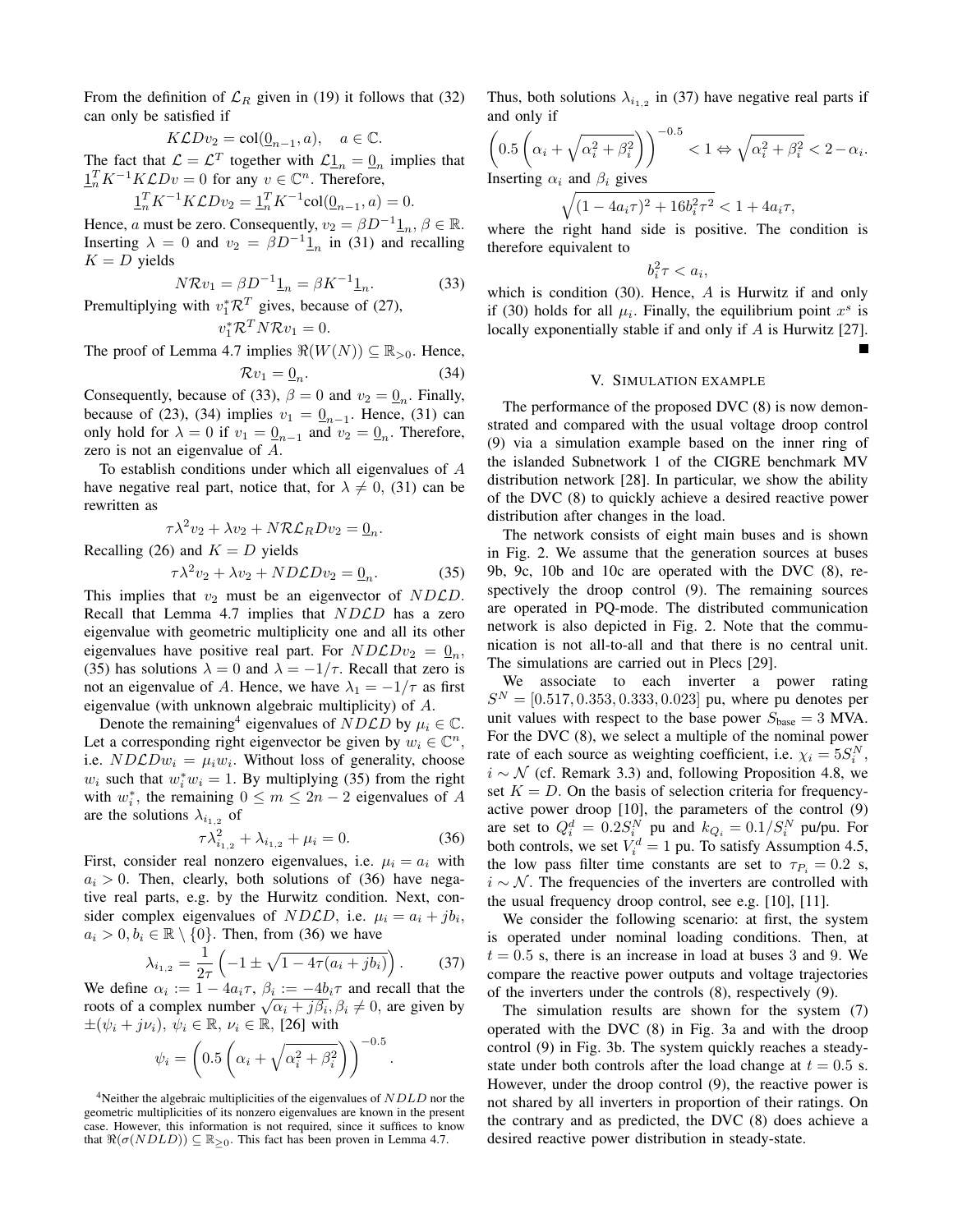From the definition of  $\mathcal{L}_R$  given in (19) it follows that (32) can only be satisfied if

$$
K\mathcal{L}Dv_2 = \text{col}(\underline{0}_{n-1}, a), \quad a \in \mathbb{C}.
$$

The fact that  $\mathcal{L} = \mathcal{L}^T$  together with  $\mathcal{L} \mathbf{1}_n = \mathbf{0}_n$  implies that  $\underline{1}_n^T K^{-1} K \mathcal{L} D v = 0$  for any  $v \in \mathbb{C}^n$ . Therefore,

$$
\underline{1}_n^T K^{-1} K \mathcal{L} D v_2 = \underline{1}_n^T K^{-1} \text{col}(\underline{0}_{n-1}, a) = 0.
$$

Hence, a must be zero. Consequently,  $v_2 = \beta D^{-1} \underline{1}_n$ ,  $\beta \in \mathbb{R}$ . Inserting  $\lambda = 0$  and  $v_2 = \beta D^{-1} \mathbf{1}_n$  in (31) and recalling  $K = D$  yields

$$
N\mathcal{R}v_1 = \beta D^{-1} \mathbf{1}_n = \beta K^{-1} \mathbf{1}_n. \tag{33}
$$

Premultiplying with  $v_1^* \mathcal{R}^T$  gives, because of (27), ∗

$$
v_1^* \mathcal{R}^T N \mathcal{R} v_1 = 0.
$$

The proof of Lemma 4.7 implies  $\Re(W(N)) \subseteq \mathbb{R}_{>0}$ . Hence,  $\mathcal{R}v_1=\underline{0}_n.$  $(34)$ 

Consequently, because of (33), 
$$
\beta = 0
$$
 and  $v_2 = \underline{0}_n$ . Finally, because of (23), (34) implies  $v_1 = \underline{0}_{n-1}$ . Hence, (31) can only hold for  $\lambda = 0$  if  $v_1 = \underline{0}_{n-1}$  and  $v_2 = \underline{0}_n$ . Therefore, zero is not an eigenvalue of  $\overline{A}$ .

To establish conditions under which all eigenvalues of A have negative real part, notice that, for  $\lambda \neq 0$ , (31) can be rewritten as

$$
\tau \lambda^2 v_2 + \lambda v_2 + N \mathcal{R} \mathcal{L}_R D v_2 = \underline{0}_n.
$$

Recalling (26) and  $K = D$  yields

$$
\tau \lambda^2 v_2 + \lambda v_2 + N D \mathcal{L} D v_2 = \underline{0}_n. \tag{35}
$$

This implies that  $v_2$  must be an eigenvector of  $NDCD$ . Recall that Lemma 4.7 implies that NDCD has a zero eigenvalue with geometric multiplicity one and all its other eigenvalues have positive real part. For  $NDLDv_2 = 0_n$ , (35) has solutions  $\lambda = 0$  and  $\lambda = -1/\tau$ . Recall that zero is not an eigenvalue of A. Hence, we have  $\lambda_1 = -1/\tau$  as first eigenvalue (with unknown algebraic multiplicity) of A.

Denote the remaining<sup>4</sup> eigenvalues of  $NDLD$  by  $\mu_i \in \mathbb{C}$ . Let a corresponding right eigenvector be given by  $w_i \in \mathbb{C}^n$ , i.e.  $NDLDw_i = \mu_i w_i$ . Without loss of generality, choose  $w_i$  such that  $w_i^* w_i = 1$ . By multiplying (35) from the right with  $w_i^*$ , the remaining  $0 \le m \le 2n - 2$  eigenvalues of A are the solutions  $\lambda_{i_{1,2}}$  of

$$
\tau \lambda_{i_{1,2}}^2 + \lambda_{i_{1,2}} + \mu_i = 0. \tag{36}
$$

First, consider real nonzero eigenvalues, i.e.  $\mu_i = a_i$  with  $a_i > 0$ . Then, clearly, both solutions of (36) have negative real parts, e.g. by the Hurwitz condition. Next, consider complex eigenvalues of  $NDLD$ , i.e.  $\mu_i = a_i + jb_i$ ,  $a_i > 0, b_i \in \mathbb{R} \setminus \{0\}$ . Then, from (36) we have

$$
\lambda_{i_{1,2}} = \frac{1}{2\tau} \left( -1 \pm \sqrt{1 - 4\tau (a_i + jb_i)} \right). \tag{37}
$$

.

We define  $\alpha_i := 1 - 4a_i \tau$ ,  $\beta_i := -4b_i \tau$  and recall that the roots of a complex number  $\sqrt{\alpha_i + j\beta_i}$ ,  $\beta_i \neq 0$ , are given by  $\pm(\psi_i + j\nu_i), \psi_i \in \mathbb{R}, \nu_i \in \mathbb{R},$  [26] with

$$
\psi_i = \left(0.5\left(\alpha_i + \sqrt{\alpha_i^2 + \beta_i^2}\right)\right)^{-0.5}
$$

 $4$ Neither the algebraic multiplicities of the eigenvalues of  $NDLD$  nor the geometric multiplicities of its nonzero eigenvalues are known in the present case. However, this information is not required, since it suffices to know that  $\Re(\sigma(NDLD)) \subseteq \mathbb{R}_{\geq 0}$ . This fact has been proven in Lemma 4.7.

Thus, both solutions  $\lambda_{i_{1,2}}$  in (37) have negative real parts if and only if

$$
\left(0.5\left(\alpha_i + \sqrt{\alpha_i^2 + \beta_i^2}\right)\right)^{-0.5} < 1 \Leftrightarrow \sqrt{\alpha_i^2 + \beta_i^2} < 2 - \alpha_i.
$$
  
Inserting  $\alpha_i$  and  $\beta_i$  gives

$$
\sqrt{(1-4a_i\tau)^2+16b_i^2\tau^2} < 1+4a_i\tau,
$$

where the right hand side is positive. The condition is therefore equivalent to

$$
b_i^2 \tau < a_i,
$$

which is condition (30). Hence,  $A$  is Hurwitz if and only if (30) holds for all  $\mu_i$ . Finally, the equilibrium point  $x^s$  is locally exponentially stable if and only if A is Hurwitz [27].

#### V. SIMULATION EXAMPLE

The performance of the proposed DVC (8) is now demonstrated and compared with the usual voltage droop control (9) via a simulation example based on the inner ring of the islanded Subnetwork 1 of the CIGRE benchmark MV distribution network [28]. In particular, we show the ability of the DVC (8) to quickly achieve a desired reactive power distribution after changes in the load.

The network consists of eight main buses and is shown in Fig. 2. We assume that the generation sources at buses 9b, 9c, 10b and 10c are operated with the DVC (8), respectively the droop control (9). The remaining sources are operated in PQ-mode. The distributed communication network is also depicted in Fig. 2. Note that the communication is not all-to-all and that there is no central unit. The simulations are carried out in Plecs [29].

We associate to each inverter a power rating  $S^{N} = [0.517, 0.353, 0.333, 0.023]$  pu, where pu denotes per unit values with respect to the base power  $S_{base} = 3$  MVA. For the DVC (8), we select a multiple of the nominal power rate of each source as weighting coefficient, i.e.  $\chi_i = 5S_i^N$ ,  $i \sim \mathcal{N}$  (cf. Remark 3.3) and, following Proposition 4.8, we set  $K = D$ . On the basis of selection criteria for frequencyactive power droop [10], the parameters of the control (9) are set to  $Q_i^d = 0.2S_i^N$  pu and  $k_{Q_i} = 0.1/S_i^N$  pu/pu. For both controls, we set  $V_i^d = 1$  pu. To satisfy Assumption 4.5, the low pass filter time constants are set to  $\tau_{P_i} = 0.2$  s,  $i \sim \mathcal{N}$ . The frequencies of the inverters are controlled with the usual frequency droop control, see e.g. [10], [11].

We consider the following scenario: at first, the system is operated under nominal loading conditions. Then, at  $t = 0.5$  s, there is an increase in load at buses 3 and 9. We compare the reactive power outputs and voltage trajectories of the inverters under the controls (8), respectively (9).

The simulation results are shown for the system (7) operated with the DVC (8) in Fig. 3a and with the droop control (9) in Fig. 3b. The system quickly reaches a steadystate under both controls after the load change at  $t = 0.5$  s. However, under the droop control (9), the reactive power is not shared by all inverters in proportion of their ratings. On the contrary and as predicted, the DVC (8) does achieve a desired reactive power distribution in steady-state.